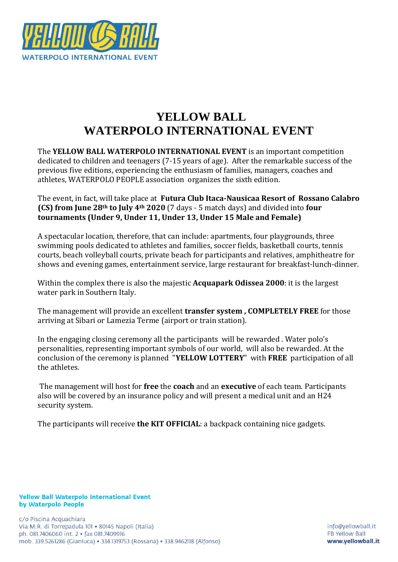

# **YELLOW BALL WATERPOLO INTERNATIONAL EVENT**

The **YELLOW BALL WATERPOLO INTERNATIONAL EVENT** is an important competition dedicated to children and teenagers (7-15 years of age). After the remarkable success of the previous five editions, experiencing the enthusiasm of families, managers, coaches and athletes, WATERPOLO PEOPLE association organizes the sixth edition.

The event, in fact, will take place at **Futura Club Itaca-Nausicaa Resort of Rossano Calabro (CS) from June 28th to July 4th 2020** (7 days - 5 match days) and divided into **four tournaments (Under 9, Under 11, Under 13, Under 15 Male and Female)**

A spectacular location, therefore, that can include: apartments, four playgrounds, three swimming pools dedicated to athletes and families, soccer fields, basketball courts, tennis courts, beach volleyball courts, private beach for participants and relatives, amphitheatre for shows and evening games, entertainment service, large restaurant for breakfast-lunch-dinner.

Within the complex there is also the majestic **Acquapark Odissea 2000**: it is the largest water park in Southern Italy.

The management will provide an excellent **transfer system , COMPLETELY FREE** for those arriving at Sibari or Lamezia Terme (airport or train station).

In the engaging closing ceremony all the participants will be rewarded . Water polo's personalities, representing important symbols of our world, will also be rewarded. At the conclusion of the ceremony is planned "**YELLOW LOTTERY**" with **FREE** participation of all the athletes.

The management will host for **free** the **coach** and an **executive** of each team. Participants also will be covered by an insurance policy and will present a medical unit and an H24 security system.

The participants will receive **the KIT OFFICIAL**: a backpack containing nice gadgets.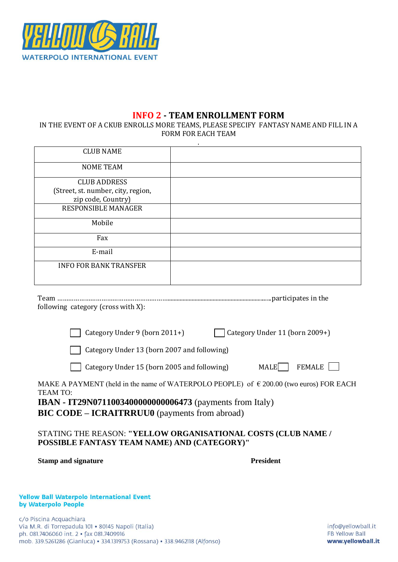

# **INFO 2 - TEAM ENROLLMENT FORM**

IN THE EVENT OF A CKUB ENROLLS MORE TEAMS, PLEASE SPECIFY FANTASY NAME AND FILL IN A FORM FOR EACH TEAM

|                                    | ٠ |
|------------------------------------|---|
| <b>CLUB NAME</b>                   |   |
| <b>NOME TEAM</b>                   |   |
| <b>CLUB ADDRESS</b>                |   |
| (Street, st. number, city, region, |   |
| zip code, Country)                 |   |
| <b>RESPONSIBLE MANAGER</b>         |   |
| Mobile                             |   |
| Fax                                |   |
| E-mail                             |   |
| <b>INFO FOR BANK TRANSFER</b>      |   |

Team …………………………………………………….....................................................................participates in the following category (cross with X):

Category Under 9 (born 2011+) Category Under 11 (born 2009+)

| Category Under 11 (born 2 |  |  |
|---------------------------|--|--|
|                           |  |  |

Category Under 13 (born 2007 and following)

Category Under 15 (born 2005 and following) MALE FEMALE

MAKE A PAYMENT (held in the name of WATERPOLO PEOPLE) of  $\epsilon$  200.00 (two euros) FOR EACH TEAM TO:

**IBAN - IT29N0711003400000000006473** (payments from Italy) **BIC CODE – ICRAITRRUU0** (payments from abroad)

## STATING THE REASON: **"YELLOW ORGANISATIONAL COSTS (CLUB NAME / POSSIBLE FANTASY TEAM NAME) AND (CATEGORY)"**

| <b>Stamp and signature</b> | <b>President</b> |
|----------------------------|------------------|
|                            |                  |

#### **Yellow Ball Waterpolo International Event** by Waterpolo People

c/o Piscina Acquachiara Via M.R. di Torrepadula 101 · 80145 Napoli (Italia) ph. 081.7406060 int. 2 · fax 081.7409916 mob. 339.5261286 (Gianluca) · 334.1319753 (Rossana) · 338.9462118 (Alfonso)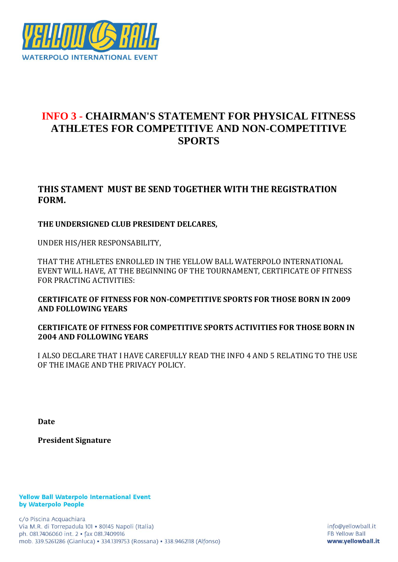

# **INFO 3 - CHAIRMAN'S STATEMENT FOR PHYSICAL FITNESS ATHLETES FOR COMPETITIVE AND NON-COMPETITIVE SPORTS**

# **THIS STAMENT MUST BE SEND TOGETHER WITH THE REGISTRATION FORM.**

## **THE UNDERSIGNED CLUB PRESIDENT DELCARES,**

UNDER HIS/HER RESPONSABILITY,

THAT THE ATHLETES ENROLLED IN THE YELLOW BALL WATERPOLO INTERNATIONAL EVENT WILL HAVE, AT THE BEGINNING OF THE TOURNAMENT, CERTIFICATE OF FITNESS FOR PRACTING ACTIVITIES:

**CERTIFICATE OF FITNESS FOR NON-COMPETITIVE SPORTS FOR THOSE BORN IN 2009 AND FOLLOWING YEARS**

**CERTIFICATE OF FITNESS FOR COMPETITIVE SPORTS ACTIVITIES FOR THOSE BORN IN 2004 AND FOLLOWING YEARS**

I ALSO DECLARE THAT I HAVE CAREFULLY READ THE INFO 4 AND 5 RELATING TO THE USE OF THE IMAGE AND THE PRIVACY POLICY.

**Date**

**President Signature**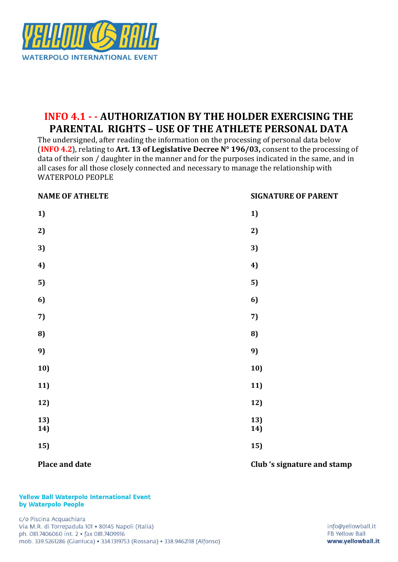

# **INFO 4.1 - - AUTHORIZATION BY THE HOLDER EXERCISING THE PARENTAL RIGHTS – USE OF THE ATHLETE PERSONAL DATA**

The undersigned, after reading the information on the processing of personal data below (**INFO 4.2**), relating to **Art. 13 of Legislative Decree N° 196/03,** consent to the processing of data of their son / daughter in the manner and for the purposes indicated in the same, and in all cases for all those closely connected and necessary to manage the relationship with WATERPOLO PEOPLE

| <b>NAME OF ATHELTE</b> | <b>SIGNATURE OF PARENT</b> |
|------------------------|----------------------------|
| 1)                     | 1)                         |
| 2)                     | 2)                         |
| 3)                     | 3)                         |
| 4)                     | 4)                         |
| 5)                     | 5)                         |
| 6)                     | 6)                         |
| 7)                     | 7)                         |
| 8)                     | 8)                         |
| 9)                     | 9)                         |
| 10)                    | 10)                        |
| 11)                    | 11)                        |
| 12)                    | 12)                        |
| 13)<br>14)             | 13)<br>14)                 |
| 15)                    | 15)                        |

#### **Place and date Club** 's signature and stamp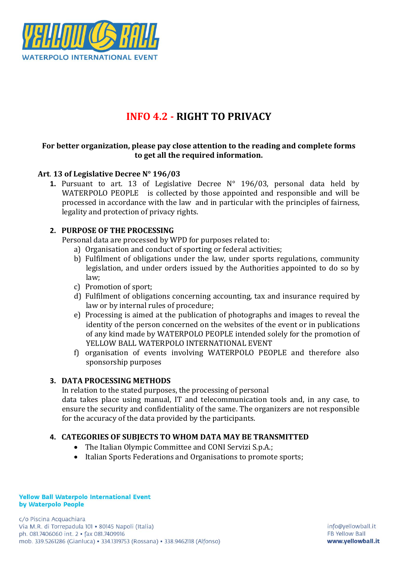

# **INFO 4.2 - RIGHT TO PRIVACY**

## **For better organization, please pay close attention to the reading and complete forms to get all the required information.**

## **Art**. **13 of Legislative Decree N° 196/03**

**1.** Pursuant to art. 13 of Legislative Decree N° 196/03, personal data held by WATERPOLO PEOPLE is collected by those appointed and responsible and will be processed in accordance with the law and in particular with the principles of fairness, legality and protection of privacy rights.

## **2. PURPOSE OF THE PROCESSING**

Personal data are processed by WPD for purposes related to:

- a) Organisation and conduct of sporting or federal activities;
- b) Fulfilment of obligations under the law, under sports regulations, community legislation, and under orders issued by the Authorities appointed to do so by law;
- c) Promotion of sport;
- d) Fulfilment of obligations concerning accounting, tax and insurance required by law or by internal rules of procedure;
- e) Processing is aimed at the publication of photographs and images to reveal the identity of the person concerned on the websites of the event or in publications of any kind made by WATERPOLO PEOPLE intended solely for the promotion of YELLOW BALL WATERPOLO INTERNATIONAL EVENT
- f) organisation of events involving WATERPOLO PEOPLE and therefore also sponsorship purposes

## **3. DATA PROCESSING METHODS**

In relation to the stated purposes, the processing of personal

data takes place using manual, IT and telecommunication tools and, in any case, to ensure the security and confidentiality of the same. The organizers are not responsible for the accuracy of the data provided by the participants.

## **4. CATEGORIES OF SUBJECTS TO WHOM DATA MAY BE TRANSMITTED**

- The Italian Olympic Committee and CONI Servizi S.p.A.;
- Italian Sports Federations and Organisations to promote sports: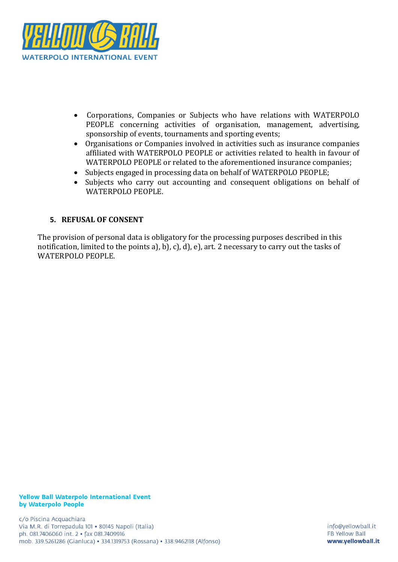

- Corporations, Companies or Subjects who have relations with WATERPOLO PEOPLE concerning activities of organisation, management, advertising, sponsorship of events, tournaments and sporting events;
- Organisations or Companies involved in activities such as insurance companies affiliated with WATERPOLO PEOPLE or activities related to health in favour of WATERPOLO PEOPLE or related to the aforementioned insurance companies;
- Subjects engaged in processing data on behalf of WATERPOLO PEOPLE;
- Subjects who carry out accounting and consequent obligations on behalf of WATERPOLO PEOPLE.

## **5. REFUSAL OF CONSENT**

The provision of personal data is obligatory for the processing purposes described in this notification, limited to the points a), b), c), d), e), art. 2 necessary to carry out the tasks of WATERPOLO PEOPLE.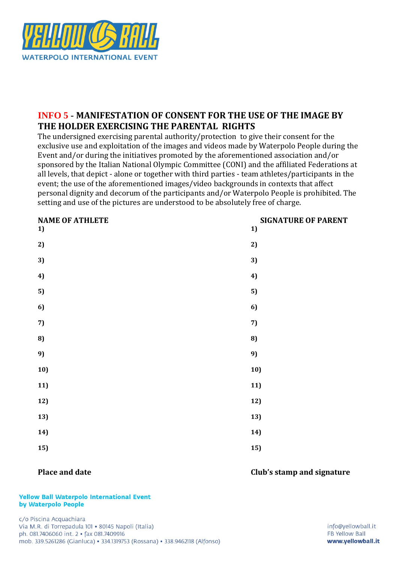

# **INFO 5 - MANIFESTATION OF CONSENT FOR THE USE OF THE IMAGE BY THE HOLDER EXERCISING THE PARENTAL RIGHTS**

The undersigned exercising parental authority/protection to give their consent for the exclusive use and exploitation of the images and videos made by Waterpolo People during the Event and/or during the initiatives promoted by the aforementioned association and/or sponsored by the Italian National Olympic Committee (CONI) and the affiliated Federations at all levels, that depict - alone or together with third parties - team athletes/participants in the event; the use of the aforementioned images/video backgrounds in contexts that affect personal dignity and decorum of the participants and/or Waterpolo People is prohibited. The setting and use of the pictures are understood to be absolutely free of charge.

| <b>NAME OF ATHLETE</b><br>1) | <b>SIGNATURE OF PARENT</b><br>1) |
|------------------------------|----------------------------------|
| 2)                           | 2)                               |
| 3)                           | 3)                               |
| 4)                           | 4)                               |
| 5)                           | 5)                               |
| 6)                           | 6)                               |
| 7)                           | 7)                               |
| 8)                           | 8)                               |
| 9)                           | 9)                               |
| 10)                          | 10)                              |
| 11)                          | 11)                              |
| 12)                          | 12)                              |
| 13)                          | 13)                              |
| 14)                          | 14)                              |
| 15)                          | 15)                              |

## **Place and date Club's stamp and signature**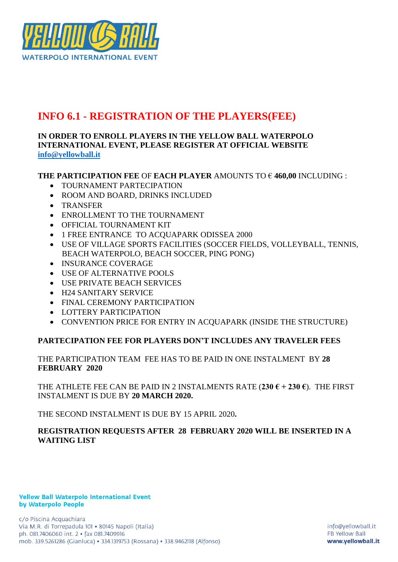

# **INFO 6.1 - REGISTRATION OF THE PLAYERS(FEE)**

## **IN ORDER TO ENROLL PLAYERS IN THE YELLOW BALL WATERPOLO INTERNATIONAL EVENT, PLEASE REGISTER AT OFFICIAL WEBSITE [info@yellowball.it](mailto:info@yellowball.it)**

## **THE PARTICIPATION FEE** OF **EACH PLAYER** AMOUNTS TO € **460,00** INCLUDING :

- TOURNAMENT PARTECIPATION
- ROOM AND BOARD, DRINKS INCLUDED
- TRANSFER
- ENROLLMENT TO THE TOURNAMENT
- OFFICIAL TOURNAMENT KIT
- 1 FREE ENTRANCE TO ACQUAPARK ODISSEA 2000
- USE OF VILLAGE SPORTS FACILITIES (SOCCER FIELDS, VOLLEYBALL, TENNIS, BEACH WATERPOLO, BEACH SOCCER, PING PONG)
- INSURANCE COVERAGE
- USE OF ALTERNATIVE POOLS
- USE PRIVATE BEACH SERVICES
- H24 SANITARY SERVICE
- FINAL CEREMONY PARTICIPATION
- LOTTERY PARTICIPATION
- CONVENTION PRICE FOR ENTRY IN ACQUAPARK (INSIDE THE STRUCTURE)

## **PARTECIPATION FEE FOR PLAYERS DON'T INCLUDES ANY TRAVELER FEES**

#### THE PARTICIPATION TEAM FEE HAS TO BE PAID IN ONE INSTALMENT BY **28 FEBRUARY 2020**

THE ATHLETE FEE CAN BE PAID IN 2 INSTALMENTS RATE  $(230 \t\t\epsilon + 230 \t\t\epsilon)$ . The FIRST INSTALMENT IS DUE BY **20 MARCH 2020.** 

THE SECOND INSTALMENT IS DUE BY 15 APRIL 2020**.**

## **REGISTRATION REQUESTS AFTER 28 FEBRUARY 2020 WILL BE INSERTED IN A WAITING LIST**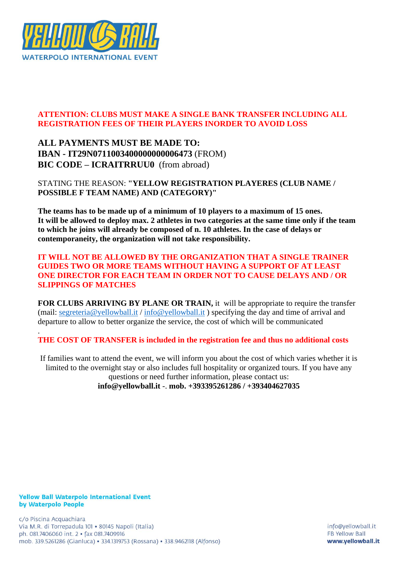

# **ATTENTION: CLUBS MUST MAKE A SINGLE BANK TRANSFER INCLUDING ALL REGISTRATION FEES OF THEIR PLAYERS INORDER TO AVOID LOSS**

**ALL PAYMENTS MUST BE MADE TO: IBAN - IT29N0711003400000000006473** (FROM) **BIC CODE – ICRAITRRUU0** (from abroad)

STATING THE REASON: **"YELLOW REGISTRATION PLAYERES (CLUB NAME / POSSIBLE F TEAM NAME) AND (CATEGORY)"**

**The teams has to be made up of a minimum of 10 players to a maximum of 15 ones. It will be allowed to deploy max. 2 athletes in two categories at the same time only if the team to which he joins will already be composed of n. 10 athletes. In the case of delays or contemporaneity, the organization will not take responsibility.**

## **IT WILL NOT BE ALLOWED BY THE ORGANIZATION THAT A SINGLE TRAINER GUIDES TWO OR MORE TEAMS WITHOUT HAVING A SUPPORT OF AT LEAST ONE DIRECTOR FOR EACH TEAM IN ORDER NOT TO CAUSE DELAYS AND / OR SLIPPINGS OF MATCHES**

**FOR CLUBS ARRIVING BY PLANE OR TRAIN,** it will be appropriate to require the transfer (mail: [segreteria@yellowball.it](mailto:segreteria@yellowball.it) / [info@yellowball.it](mailto:info@yellowball.it) ) specifying the day and time of arrival and departure to allow to better organize the service, the cost of which will be communicated

**THE COST OF TRANSFER is included in the registration fee and thus no additional costs**

If families want to attend the event, we will inform you about the cost of which varies whether it is limited to the overnight stay or also includes full hospitality or organized tours. If you have any questions or need further information, please contact us: **info@yellowball.it** -. **mob. +393395261286 / +393404627035**

#### **Yellow Ball Waterpolo International Event** by Waterpolo People

.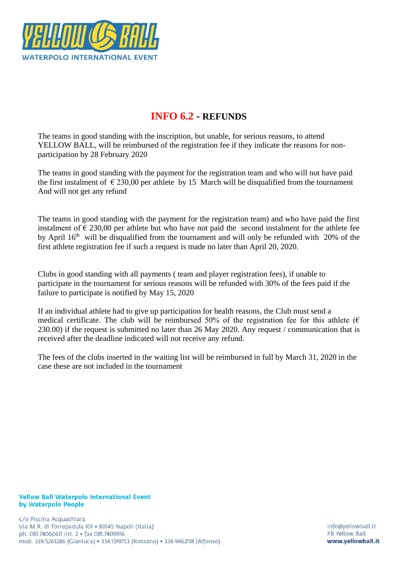

# **INFO 6.2 - REFUNDS**

The teams in good standing with the inscription, but unable, for serious reasons, to attend YELLOW BALL, will be reimbursed of the registration fee if they indicate the reasons for nonparticipation by 28 February 2020

The teams in good standing with the payment for the registration team and who will not have paid the first instalment of  $\epsilon$  230,00 per athlete by 15 March will be disqualified from the tournament And will not get any refund

The teams in good standing with the payment for the registration team) and who have paid the first instalment of  $\epsilon$  230,00 per athlete but who have not paid the second instalment for the athlete fee by April 16<sup>th</sup> will be disqualified from the tournament and will only be refunded with 20% of the first athlete registration fee if such a request is made no later than April 20, 2020.

Clubs in good standing with all payments ( team and player registration fees), if unable to participate in the tournament for serious reasons will be refunded with 30% of the fees paid if the failure to participate is notified by May 15, 2020

If an individual athlete had to give up participation for health reasons, the Club must send a medical certificate. The club will be reimbursed 50% of the registration fee for this athlete ( $\epsilon$ 230.00) if the request is submitted no later than 26 May 2020. Any request / communication that is received after the deadline indicated will not receive any refund.

The fees of the clubs inserted in the waiting list will be reimbursed in full by March 31, 2020 in the case these are not included in the tournament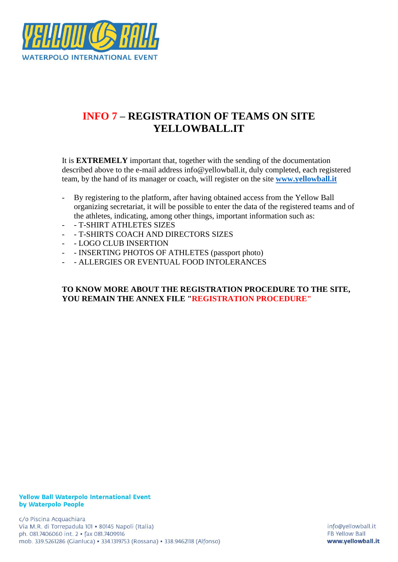

# **INFO 7 – REGISTRATION OF TEAMS ON SITE YELLOWBALL.IT**

It is **EXTREMELY** important that, together with the sending of the documentation described above to the e-mail address info@yellowball.it, duly completed, each registered team, by the hand of its manager or coach, will register on the site **[www.yellowball.it](http://www.yellowball.it/)**

- By registering to the platform, after having obtained access from the Yellow Ball organizing secretariat, it will be possible to enter the data of the registered teams and of the athletes, indicating, among other things, important information such as:
- - T-SHIRT ATHLETES SIZES
- - T-SHIRTS COACH AND DIRECTORS SIZES
- - LOGO CLUB INSERTION
- - INSERTING PHOTOS OF ATHLETES (passport photo)
- ALLERGIES OR EVENTUAL FOOD INTOLERANCES

#### **TO KNOW MORE ABOUT THE REGISTRATION PROCEDURE TO THE SITE, YOU REMAIN THE ANNEX FILE "REGISTRATION PROCEDURE"**